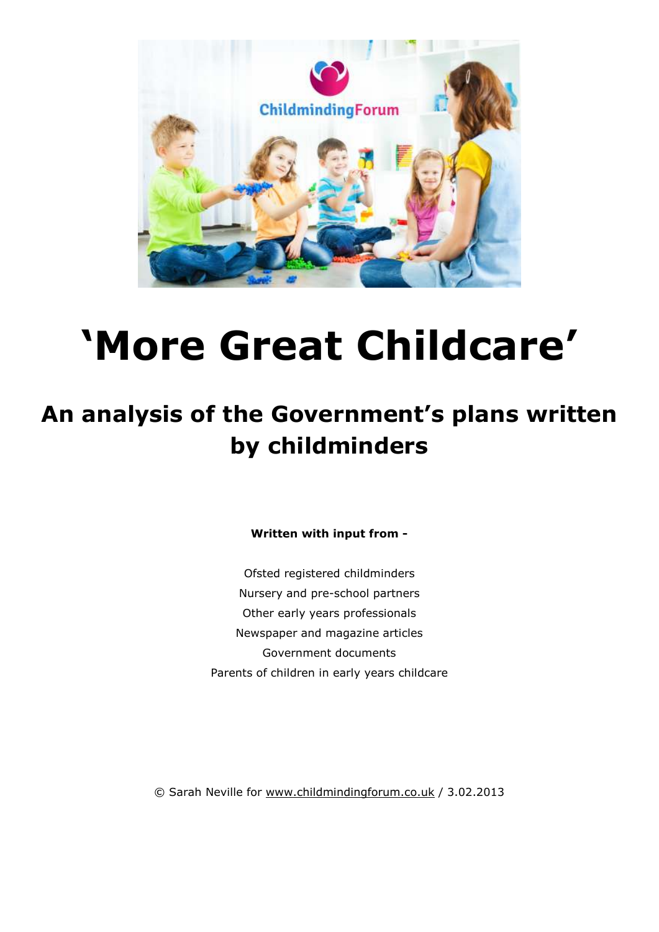

# **'More Great Childcare'**

# **An analysis of the Government's plans written by childminders**

**Written with input from -** 

Ofsted registered childminders Nursery and pre-school partners Other early years professionals Newspaper and magazine articles Government documents Parents of children in early years childcare

© Sarah Neville for www.childmindingforum.co.uk / 3.02.2013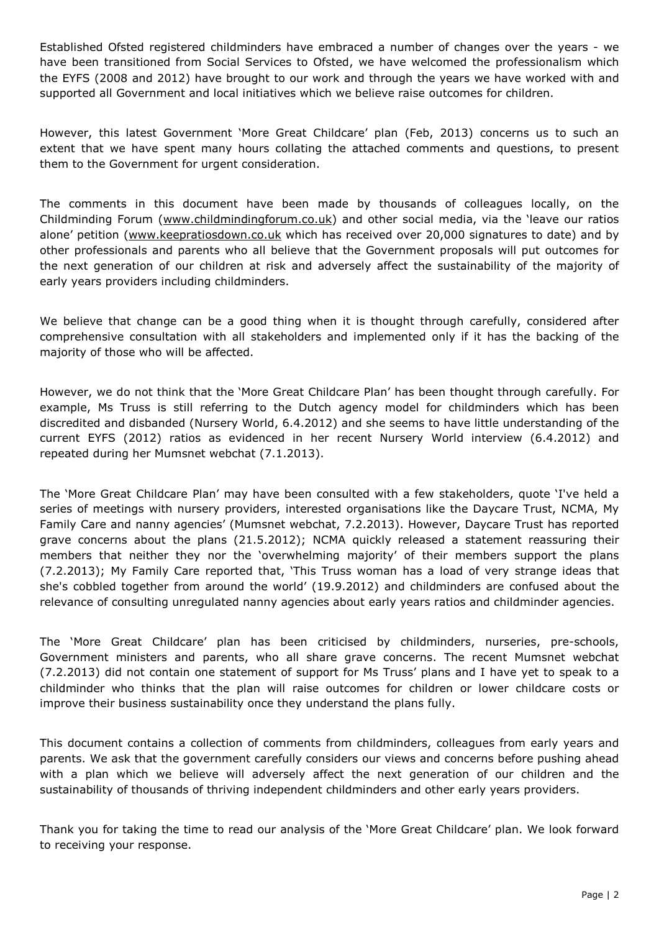Established Ofsted registered childminders have embraced a number of changes over the years - we have been transitioned from Social Services to Ofsted, we have welcomed the professionalism which the EYFS (2008 and 2012) have brought to our work and through the years we have worked with and supported all Government and local initiatives which we believe raise outcomes for children.

However, this latest Government 'More Great Childcare' plan (Feb, 2013) concerns us to such an extent that we have spent many hours collating the attached comments and questions, to present them to the Government for urgent consideration.

The comments in this document have been made by thousands of colleagues locally, on the Childminding Forum (www.childmindingforum.co.uk) and other social media, via the 'leave our ratios alone' petition (www.keepratiosdown.co.uk which has received over 20,000 signatures to date) and by other professionals and parents who all believe that the Government proposals will put outcomes for the next generation of our children at risk and adversely affect the sustainability of the majority of early years providers including childminders.

We believe that change can be a good thing when it is thought through carefully, considered after comprehensive consultation with all stakeholders and implemented only if it has the backing of the majority of those who will be affected.

However, we do not think that the 'More Great Childcare Plan' has been thought through carefully. For example, Ms Truss is still referring to the Dutch agency model for childminders which has been discredited and disbanded (Nursery World, 6.4.2012) and she seems to have little understanding of the current EYFS (2012) ratios as evidenced in her recent Nursery World interview (6.4.2012) and repeated during her Mumsnet webchat (7.1.2013).

The 'More Great Childcare Plan' may have been consulted with a few stakeholders, quote 'I've held a series of meetings with nursery providers, interested organisations like the Daycare Trust, NCMA, My Family Care and nanny agencies' (Mumsnet webchat, 7.2.2013). However, Daycare Trust has reported grave concerns about the plans (21.5.2012); NCMA quickly released a statement reassuring their members that neither they nor the 'overwhelming majority' of their members support the plans (7.2.2013); My Family Care reported that, 'This Truss woman has a load of very strange ideas that she's cobbled together from around the world' (19.9.2012) and childminders are confused about the relevance of consulting unregulated nanny agencies about early years ratios and childminder agencies.

The 'More Great Childcare' plan has been criticised by childminders, nurseries, pre-schools, Government ministers and parents, who all share grave concerns. The recent Mumsnet webchat (7.2.2013) did not contain one statement of support for Ms Truss' plans and I have yet to speak to a childminder who thinks that the plan will raise outcomes for children or lower childcare costs or improve their business sustainability once they understand the plans fully.

This document contains a collection of comments from childminders, colleagues from early years and parents. We ask that the government carefully considers our views and concerns before pushing ahead with a plan which we believe will adversely affect the next generation of our children and the sustainability of thousands of thriving independent childminders and other early years providers.

Thank you for taking the time to read our analysis of the 'More Great Childcare' plan. We look forward to receiving your response.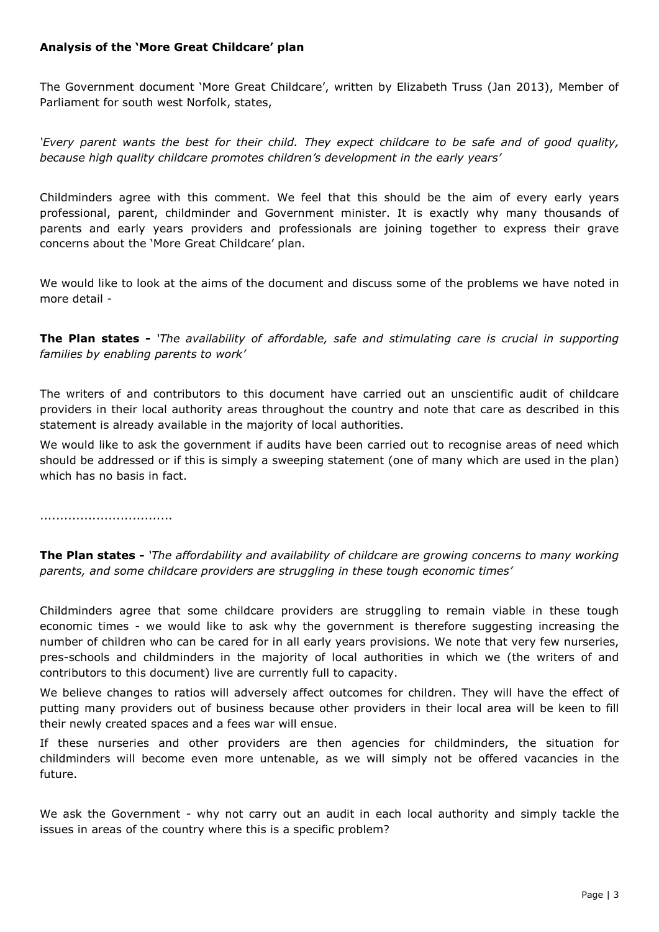# **Analysis of the 'More Great Childcare' plan**

The Government document 'More Great Childcare', written by Elizabeth Truss (Jan 2013), Member of Parliament for south west Norfolk, states,

*'Every parent wants the best for their child. They expect childcare to be safe and of good quality, because high quality childcare promotes children's development in the early years'*

Childminders agree with this comment. We feel that this should be the aim of every early years professional, parent, childminder and Government minister. It is exactly why many thousands of parents and early years providers and professionals are joining together to express their grave concerns about the 'More Great Childcare' plan.

We would like to look at the aims of the document and discuss some of the problems we have noted in more detail -

**The Plan states** *- 'The availability of affordable, safe and stimulating care is crucial in supporting families by enabling parents to work'*

The writers of and contributors to this document have carried out an unscientific audit of childcare providers in their local authority areas throughout the country and note that care as described in this statement is already available in the majority of local authorities.

We would like to ask the government if audits have been carried out to recognise areas of need which should be addressed or if this is simply a sweeping statement (one of many which are used in the plan) which has no basis in fact.

.................................

**The Plan states** *- 'The affordability and availability of childcare are growing concerns to many working parents, and some childcare providers are struggling in these tough economic times'* 

Childminders agree that some childcare providers are struggling to remain viable in these tough economic times - we would like to ask why the government is therefore suggesting increasing the number of children who can be cared for in all early years provisions. We note that very few nurseries, pres-schools and childminders in the majority of local authorities in which we (the writers of and contributors to this document) live are currently full to capacity.

We believe changes to ratios will adversely affect outcomes for children. They will have the effect of putting many providers out of business because other providers in their local area will be keen to fill their newly created spaces and a fees war will ensue.

If these nurseries and other providers are then agencies for childminders, the situation for childminders will become even more untenable, as we will simply not be offered vacancies in the future.

We ask the Government - why not carry out an audit in each local authority and simply tackle the issues in areas of the country where this is a specific problem?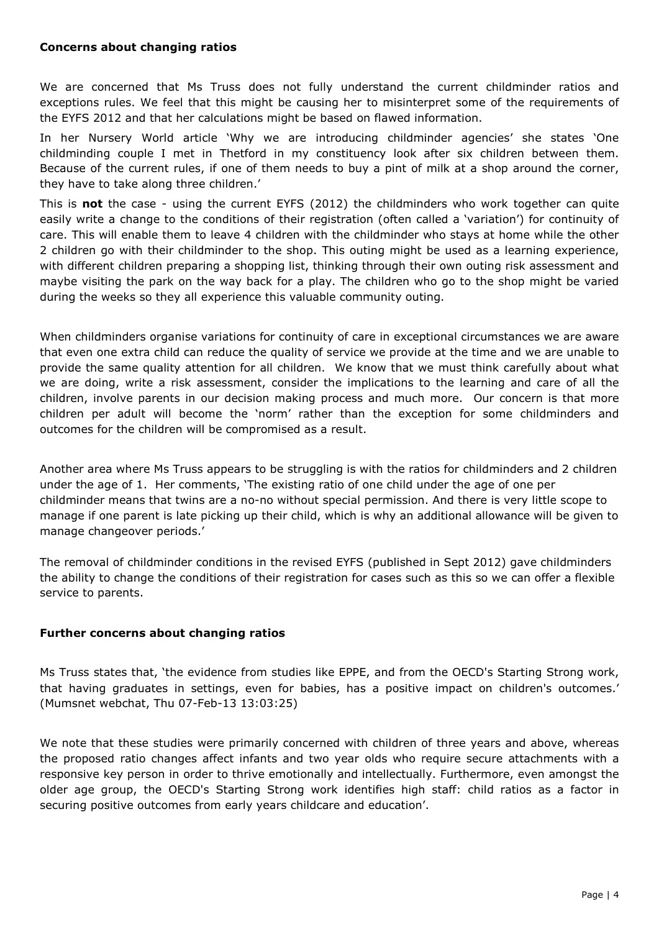#### **Concerns about changing ratios**

We are concerned that Ms Truss does not fully understand the current childminder ratios and exceptions rules. We feel that this might be causing her to misinterpret some of the requirements of the EYFS 2012 and that her calculations might be based on flawed information.

In her Nursery World article 'Why we are introducing childminder agencies' she states 'One childminding couple I met in Thetford in my constituency look after six children between them. Because of the current rules, if one of them needs to buy a pint of milk at a shop around the corner, they have to take along three children.'

This is **not** the case - using the current EYFS (2012) the childminders who work together can quite easily write a change to the conditions of their registration (often called a 'variation') for continuity of care. This will enable them to leave 4 children with the childminder who stays at home while the other 2 children go with their childminder to the shop. This outing might be used as a learning experience, with different children preparing a shopping list, thinking through their own outing risk assessment and maybe visiting the park on the way back for a play. The children who go to the shop might be varied during the weeks so they all experience this valuable community outing.

When childminders organise variations for continuity of care in exceptional circumstances we are aware that even one extra child can reduce the quality of service we provide at the time and we are unable to provide the same quality attention for all children. We know that we must think carefully about what we are doing, write a risk assessment, consider the implications to the learning and care of all the children, involve parents in our decision making process and much more. Our concern is that more children per adult will become the 'norm' rather than the exception for some childminders and outcomes for the children will be compromised as a result.

Another area where Ms Truss appears to be struggling is with the ratios for childminders and 2 children under the age of 1. Her comments, 'The existing ratio of one child under the age of one per childminder means that twins are a no-no without special permission. And there is very little scope to manage if one parent is late picking up their child, which is why an additional allowance will be given to manage changeover periods.'

The removal of childminder conditions in the revised EYFS (published in Sept 2012) gave childminders the ability to change the conditions of their registration for cases such as this so we can offer a flexible service to parents.

# **Further concerns about changing ratios**

Ms Truss states that, 'the evidence from studies like EPPE, and from the OECD's Starting Strong work, that having graduates in settings, even for babies, has a positive impact on children's outcomes.' (Mumsnet webchat, Thu 07-Feb-13 13:03:25)

We note that these studies were primarily concerned with children of three years and above, whereas the proposed ratio changes affect infants and two year olds who require secure attachments with a responsive key person in order to thrive emotionally and intellectually. Furthermore, even amongst the older age group, the OECD's Starting Strong work identifies high staff: child ratios as a factor in securing positive outcomes from early years childcare and education'.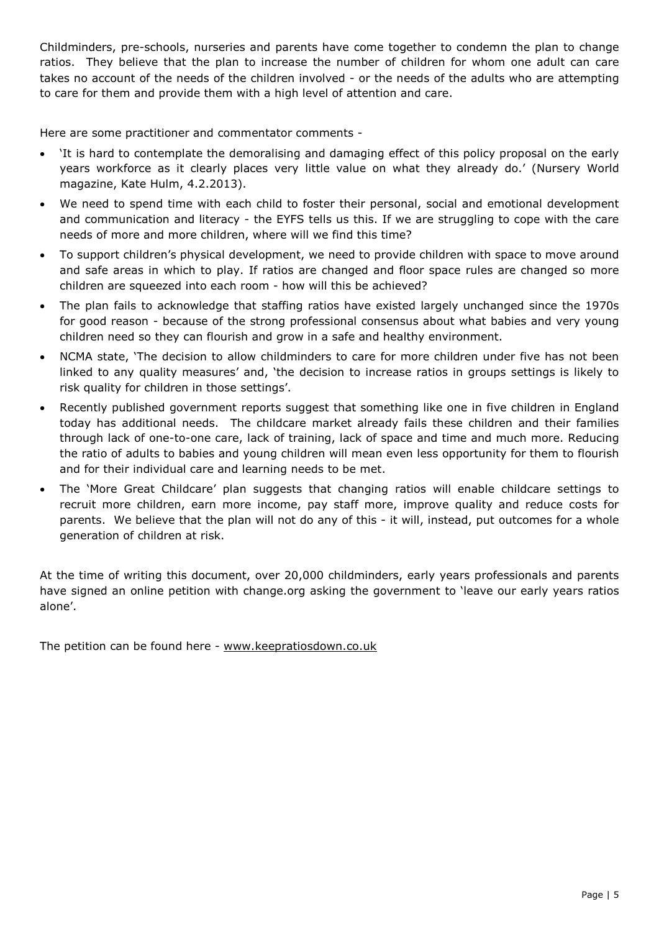Childminders, pre-schools, nurseries and parents have come together to condemn the plan to change ratios. They believe that the plan to increase the number of children for whom one adult can care takes no account of the needs of the children involved - or the needs of the adults who are attempting to care for them and provide them with a high level of attention and care.

Here are some practitioner and commentator comments -

- 'It is hard to contemplate the demoralising and damaging effect of this policy proposal on the early years workforce as it clearly places very little value on what they already do.' (Nursery World magazine, Kate Hulm, 4.2.2013).
- We need to spend time with each child to foster their personal, social and emotional development and communication and literacy - the EYFS tells us this. If we are struggling to cope with the care needs of more and more children, where will we find this time?
- To support children's physical development, we need to provide children with space to move around and safe areas in which to play. If ratios are changed and floor space rules are changed so more children are squeezed into each room - how will this be achieved?
- The plan fails to acknowledge that staffing ratios have existed largely unchanged since the 1970s for good reason - because of the strong professional consensus about what babies and very young children need so they can flourish and grow in a safe and healthy environment.
- NCMA state, 'The decision to allow childminders to care for more children under five has not been linked to any quality measures' and, 'the decision to increase ratios in groups settings is likely to risk quality for children in those settings'.
- Recently published government reports suggest that something like one in five children in England today has additional needs. The childcare market already fails these children and their families through lack of one-to-one care, lack of training, lack of space and time and much more. Reducing the ratio of adults to babies and young children will mean even less opportunity for them to flourish and for their individual care and learning needs to be met.
- The 'More Great Childcare' plan suggests that changing ratios will enable childcare settings to recruit more children, earn more income, pay staff more, improve quality and reduce costs for parents. We believe that the plan will not do any of this - it will, instead, put outcomes for a whole generation of children at risk.

At the time of writing this document, over 20,000 childminders, early years professionals and parents have signed an online petition with change.org asking the government to 'leave our early years ratios alone'.

The petition can be found here - www.keepratiosdown.co.uk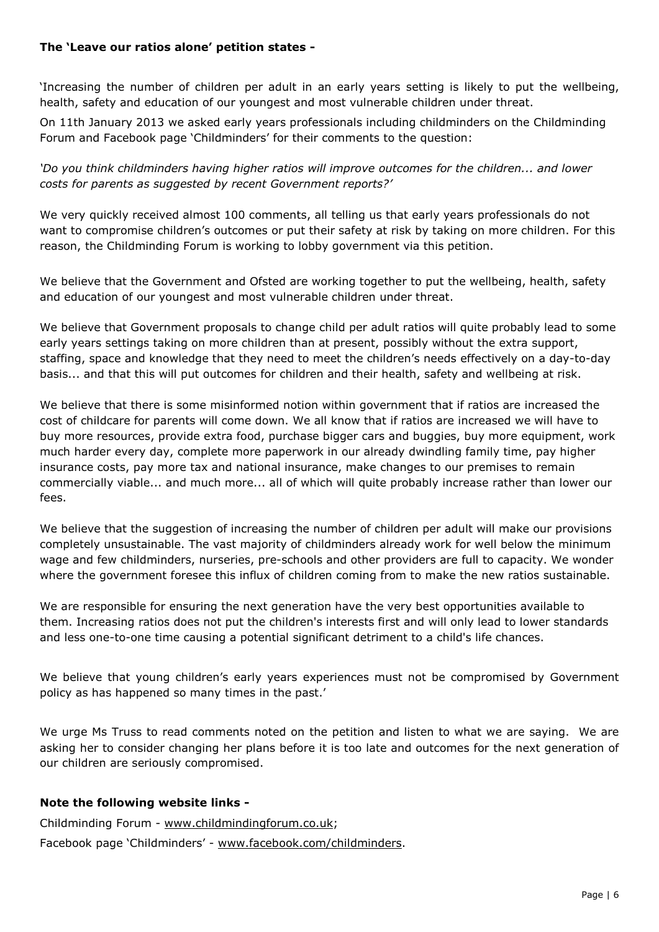# **The 'Leave our ratios alone' petition states -**

'Increasing the number of children per adult in an early years setting is likely to put the wellbeing, health, safety and education of our youngest and most vulnerable children under threat.

On 11th January 2013 we asked early years professionals including childminders on the Childminding Forum and Facebook page 'Childminders' for their comments to the question:

*'Do you think childminders having higher ratios will improve outcomes for the children... and lower costs for parents as suggested by recent Government reports?'*

We very quickly received almost 100 comments, all telling us that early years professionals do not want to compromise children's outcomes or put their safety at risk by taking on more children. For this reason, the Childminding Forum is working to lobby government via this petition.

We believe that the Government and Ofsted are working together to put the wellbeing, health, safety and education of our youngest and most vulnerable children under threat.

We believe that Government proposals to change child per adult ratios will quite probably lead to some early years settings taking on more children than at present, possibly without the extra support, staffing, space and knowledge that they need to meet the children's needs effectively on a day-to-day basis... and that this will put outcomes for children and their health, safety and wellbeing at risk.

We believe that there is some misinformed notion within government that if ratios are increased the cost of childcare for parents will come down. We all know that if ratios are increased we will have to buy more resources, provide extra food, purchase bigger cars and buggies, buy more equipment, work much harder every day, complete more paperwork in our already dwindling family time, pay higher insurance costs, pay more tax and national insurance, make changes to our premises to remain commercially viable... and much more... all of which will quite probably increase rather than lower our fees.

We believe that the suggestion of increasing the number of children per adult will make our provisions completely unsustainable. The vast majority of childminders already work for well below the minimum wage and few childminders, nurseries, pre-schools and other providers are full to capacity. We wonder where the government foresee this influx of children coming from to make the new ratios sustainable.

We are responsible for ensuring the next generation have the very best opportunities available to them. Increasing ratios does not put the children's interests first and will only lead to lower standards and less one-to-one time causing a potential significant detriment to a child's life chances.

We believe that young children's early years experiences must not be compromised by Government policy as has happened so many times in the past.'

We urge Ms Truss to read comments noted on the petition and listen to what we are saying. We are asking her to consider changing her plans before it is too late and outcomes for the next generation of our children are seriously compromised.

# **Note the following website links -**

Childminding Forum - www.childmindingforum.co.uk;

Facebook page 'Childminders' - www.facebook.com/childminders.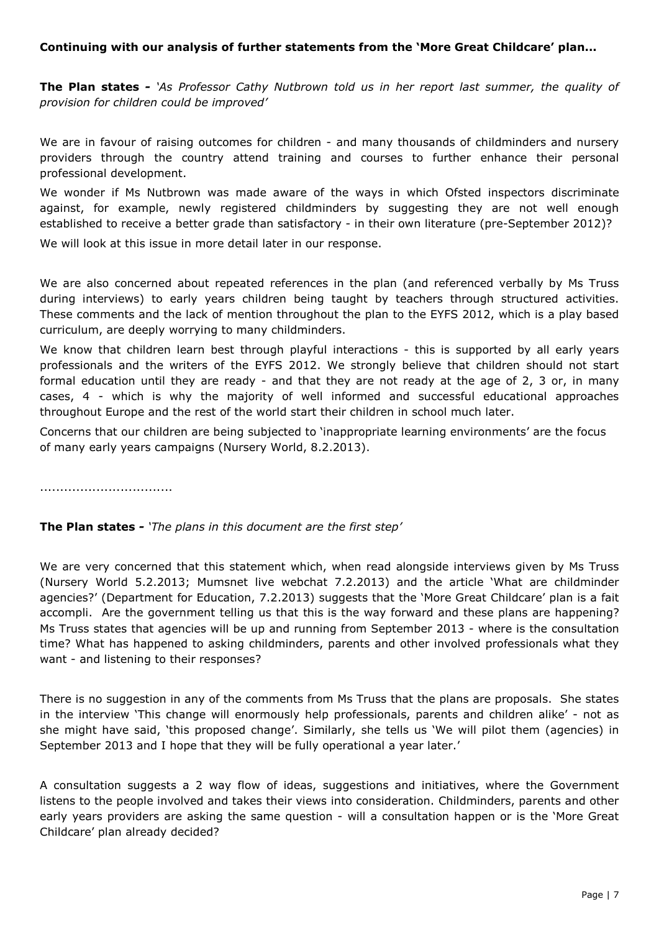# **Continuing with our analysis of further statements from the 'More Great Childcare' plan...**

**The Plan states** *- 'As Professor Cathy Nutbrown told us in her report last summer, the quality of provision for children could be improved'* 

We are in favour of raising outcomes for children - and many thousands of childminders and nursery providers through the country attend training and courses to further enhance their personal professional development.

We wonder if Ms Nutbrown was made aware of the ways in which Ofsted inspectors discriminate against, for example, newly registered childminders by suggesting they are not well enough established to receive a better grade than satisfactory - in their own literature (pre-September 2012)?

We will look at this issue in more detail later in our response.

We are also concerned about repeated references in the plan (and referenced verbally by Ms Truss during interviews) to early years children being taught by teachers through structured activities. These comments and the lack of mention throughout the plan to the EYFS 2012, which is a play based curriculum, are deeply worrying to many childminders.

We know that children learn best through playful interactions - this is supported by all early years professionals and the writers of the EYFS 2012. We strongly believe that children should not start formal education until they are ready - and that they are not ready at the age of 2, 3 or, in many cases, 4 - which is why the majority of well informed and successful educational approaches throughout Europe and the rest of the world start their children in school much later.

Concerns that our children are being subjected to 'inappropriate learning environments' are the focus of many early years campaigns (Nursery World, 8.2.2013).

.................................

# **The Plan states** *- 'The plans in this document are the first step'*

We are very concerned that this statement which, when read alongside interviews given by Ms Truss (Nursery World 5.2.2013; Mumsnet live webchat 7.2.2013) and the article 'What are childminder agencies?' (Department for Education, 7.2.2013) suggests that the 'More Great Childcare' plan is a fait accompli. Are the government telling us that this is the way forward and these plans are happening? Ms Truss states that agencies will be up and running from September 2013 - where is the consultation time? What has happened to asking childminders, parents and other involved professionals what they want - and listening to their responses?

There is no suggestion in any of the comments from Ms Truss that the plans are proposals. She states in the interview 'This change will enormously help professionals, parents and children alike' - not as she might have said, 'this proposed change'. Similarly, she tells us 'We will pilot them (agencies) in September 2013 and I hope that they will be fully operational a year later.'

A consultation suggests a 2 way flow of ideas, suggestions and initiatives, where the Government listens to the people involved and takes their views into consideration. Childminders, parents and other early years providers are asking the same question - will a consultation happen or is the 'More Great Childcare' plan already decided?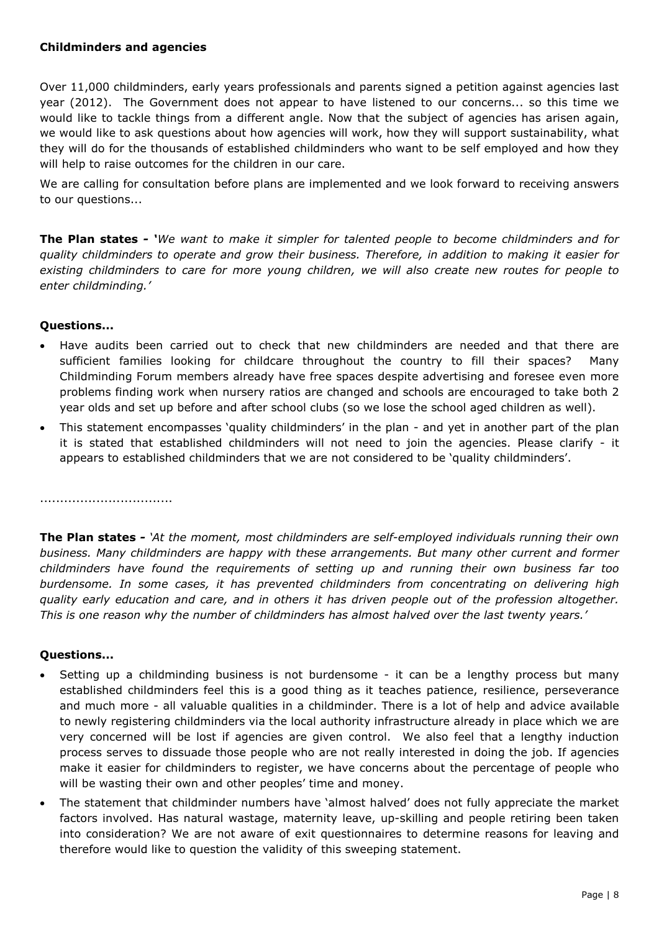# **Childminders and agencies**

Over 11,000 childminders, early years professionals and parents signed a petition against agencies last year (2012). The Government does not appear to have listened to our concerns... so this time we would like to tackle things from a different angle. Now that the subject of agencies has arisen again, we would like to ask questions about how agencies will work, how they will support sustainability, what they will do for the thousands of established childminders who want to be self employed and how they will help to raise outcomes for the children in our care.

We are calling for consultation before plans are implemented and we look forward to receiving answers to our questions...

**The Plan states** *- 'We want to make it simpler for talented people to become childminders and for quality childminders to operate and grow their business. Therefore, in addition to making it easier for existing childminders to care for more young children, we will also create new routes for people to enter childminding.'*

#### **Questions...**

- Have audits been carried out to check that new childminders are needed and that there are sufficient families looking for childcare throughout the country to fill their spaces? Many Childminding Forum members already have free spaces despite advertising and foresee even more problems finding work when nursery ratios are changed and schools are encouraged to take both 2 year olds and set up before and after school clubs (so we lose the school aged children as well).
- This statement encompasses 'quality childminders' in the plan and yet in another part of the plan it is stated that established childminders will not need to join the agencies. Please clarify - it appears to established childminders that we are not considered to be 'quality childminders'.

.................................

**The Plan states** *- 'At the moment, most childminders are self-employed individuals running their own business. Many childminders are happy with these arrangements. But many other current and former childminders have found the requirements of setting up and running their own business far too burdensome. In some cases, it has prevented childminders from concentrating on delivering high quality early education and care, and in others it has driven people out of the profession altogether. This is one reason why the number of childminders has almost halved over the last twenty years.'*

- Setting up a childminding business is not burdensome it can be a lengthy process but many established childminders feel this is a good thing as it teaches patience, resilience, perseverance and much more - all valuable qualities in a childminder. There is a lot of help and advice available to newly registering childminders via the local authority infrastructure already in place which we are very concerned will be lost if agencies are given control. We also feel that a lengthy induction process serves to dissuade those people who are not really interested in doing the job. If agencies make it easier for childminders to register, we have concerns about the percentage of people who will be wasting their own and other peoples' time and money.
- The statement that childminder numbers have 'almost halved' does not fully appreciate the market factors involved. Has natural wastage, maternity leave, up-skilling and people retiring been taken into consideration? We are not aware of exit questionnaires to determine reasons for leaving and therefore would like to question the validity of this sweeping statement.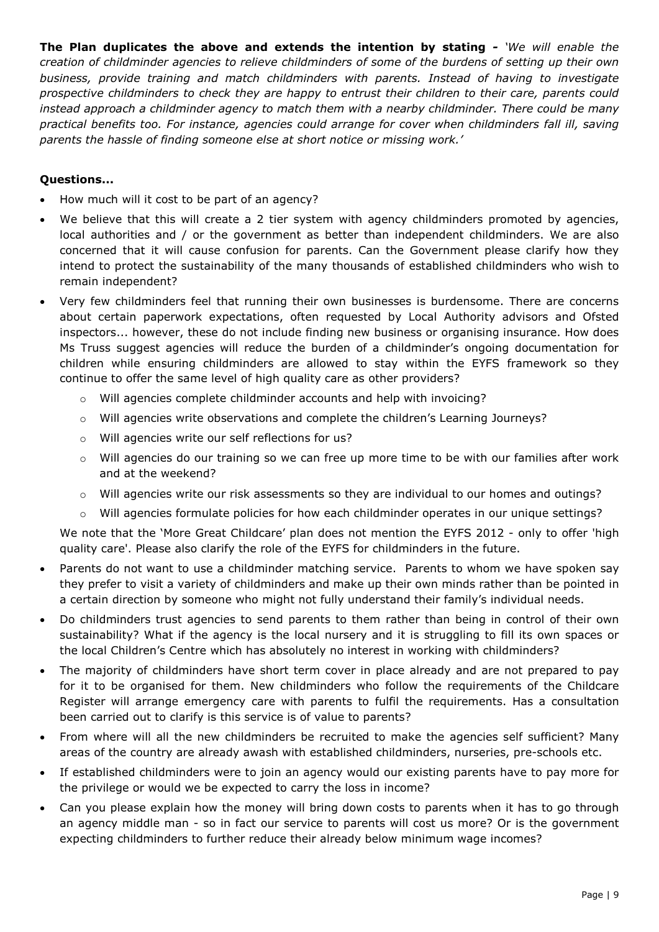**The Plan duplicates the above and extends the intention by stating** *- 'We will enable the creation of childminder agencies to relieve childminders of some of the burdens of setting up their own business, provide training and match childminders with parents. Instead of having to investigate prospective childminders to check they are happy to entrust their children to their care, parents could instead approach a childminder agency to match them with a nearby childminder. There could be many practical benefits too. For instance, agencies could arrange for cover when childminders fall ill, saving parents the hassle of finding someone else at short notice or missing work.'*

# **Questions...**

- How much will it cost to be part of an agency?
- We believe that this will create a 2 tier system with agency childminders promoted by agencies, local authorities and / or the government as better than independent childminders. We are also concerned that it will cause confusion for parents. Can the Government please clarify how they intend to protect the sustainability of the many thousands of established childminders who wish to remain independent?
- Very few childminders feel that running their own businesses is burdensome. There are concerns about certain paperwork expectations, often requested by Local Authority advisors and Ofsted inspectors... however, these do not include finding new business or organising insurance. How does Ms Truss suggest agencies will reduce the burden of a childminder's ongoing documentation for children while ensuring childminders are allowed to stay within the EYFS framework so they continue to offer the same level of high quality care as other providers?
	- o Will agencies complete childminder accounts and help with invoicing?
	- o Will agencies write observations and complete the children's Learning Journeys?
	- o Will agencies write our self reflections for us?
	- $\circ$  Will agencies do our training so we can free up more time to be with our families after work and at the weekend?
	- o Will agencies write our risk assessments so they are individual to our homes and outings?
	- o Will agencies formulate policies for how each childminder operates in our unique settings?

We note that the 'More Great Childcare' plan does not mention the EYFS 2012 - only to offer 'high quality care'. Please also clarify the role of the EYFS for childminders in the future.

- Parents do not want to use a childminder matching service. Parents to whom we have spoken say they prefer to visit a variety of childminders and make up their own minds rather than be pointed in a certain direction by someone who might not fully understand their family's individual needs.
- Do childminders trust agencies to send parents to them rather than being in control of their own sustainability? What if the agency is the local nursery and it is struggling to fill its own spaces or the local Children's Centre which has absolutely no interest in working with childminders?
- The majority of childminders have short term cover in place already and are not prepared to pay for it to be organised for them. New childminders who follow the requirements of the Childcare Register will arrange emergency care with parents to fulfil the requirements. Has a consultation been carried out to clarify is this service is of value to parents?
- From where will all the new childminders be recruited to make the agencies self sufficient? Many areas of the country are already awash with established childminders, nurseries, pre-schools etc.
- If established childminders were to join an agency would our existing parents have to pay more for the privilege or would we be expected to carry the loss in income?
- Can you please explain how the money will bring down costs to parents when it has to go through an agency middle man - so in fact our service to parents will cost us more? Or is the government expecting childminders to further reduce their already below minimum wage incomes?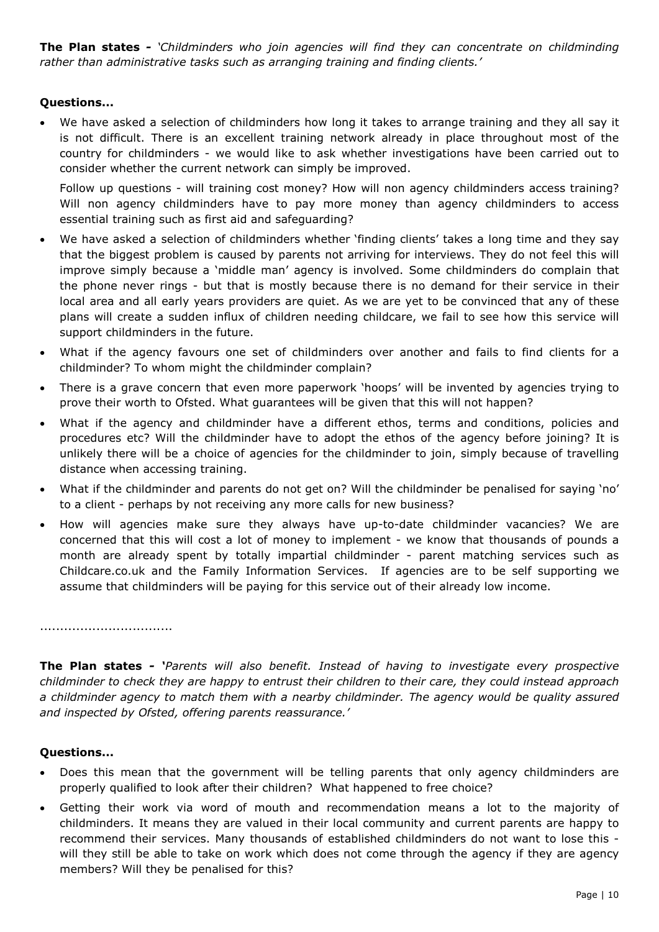**The Plan states** *- 'Childminders who join agencies will find they can concentrate on childminding rather than administrative tasks such as arranging training and finding clients.'* 

# **Questions...**

• We have asked a selection of childminders how long it takes to arrange training and they all say it is not difficult. There is an excellent training network already in place throughout most of the country for childminders - we would like to ask whether investigations have been carried out to consider whether the current network can simply be improved.

Follow up questions - will training cost money? How will non agency childminders access training? Will non agency childminders have to pay more money than agency childminders to access essential training such as first aid and safeguarding?

- We have asked a selection of childminders whether 'finding clients' takes a long time and they say that the biggest problem is caused by parents not arriving for interviews. They do not feel this will improve simply because a 'middle man' agency is involved. Some childminders do complain that the phone never rings - but that is mostly because there is no demand for their service in their local area and all early years providers are quiet. As we are yet to be convinced that any of these plans will create a sudden influx of children needing childcare, we fail to see how this service will support childminders in the future.
- What if the agency favours one set of childminders over another and fails to find clients for a childminder? To whom might the childminder complain?
- There is a grave concern that even more paperwork 'hoops' will be invented by agencies trying to prove their worth to Ofsted. What guarantees will be given that this will not happen?
- What if the agency and childminder have a different ethos, terms and conditions, policies and procedures etc? Will the childminder have to adopt the ethos of the agency before joining? It is unlikely there will be a choice of agencies for the childminder to join, simply because of travelling distance when accessing training.
- What if the childminder and parents do not get on? Will the childminder be penalised for saying 'no' to a client - perhaps by not receiving any more calls for new business?
- How will agencies make sure they always have up-to-date childminder vacancies? We are concerned that this will cost a lot of money to implement - we know that thousands of pounds a month are already spent by totally impartial childminder - parent matching services such as Childcare.co.uk and the Family Information Services. If agencies are to be self supporting we assume that childminders will be paying for this service out of their already low income.

.................................

**The Plan states** *- 'Parents will also benefit. Instead of having to investigate every prospective childminder to check they are happy to entrust their children to their care, they could instead approach*  a childminder agency to match them with a nearby childminder. The agency would be quality assured *and inspected by Ofsted, offering parents reassurance.'* 

- Does this mean that the government will be telling parents that only agency childminders are properly qualified to look after their children? What happened to free choice?
- Getting their work via word of mouth and recommendation means a lot to the majority of childminders. It means they are valued in their local community and current parents are happy to recommend their services. Many thousands of established childminders do not want to lose this will they still be able to take on work which does not come through the agency if they are agency members? Will they be penalised for this?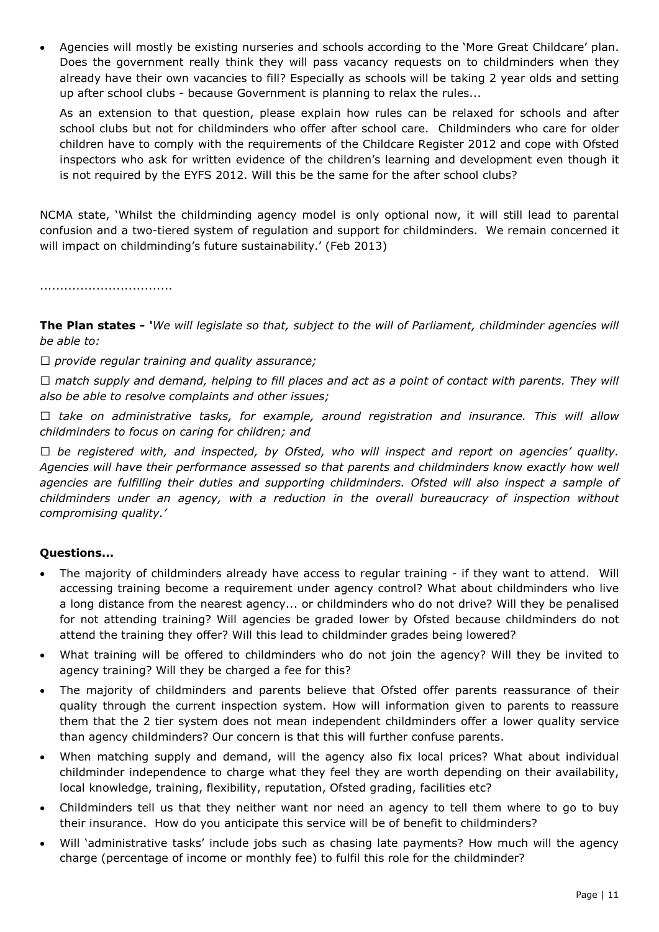• Agencies will mostly be existing nurseries and schools according to the 'More Great Childcare' plan. Does the government really think they will pass vacancy requests on to childminders when they already have their own vacancies to fill? Especially as schools will be taking 2 year olds and setting up after school clubs - because Government is planning to relax the rules...

As an extension to that question, please explain how rules can be relaxed for schools and after school clubs but not for childminders who offer after school care. Childminders who care for older children have to comply with the requirements of the Childcare Register 2012 and cope with Ofsted inspectors who ask for written evidence of the children's learning and development even though it is not required by the EYFS 2012. Will this be the same for the after school clubs?

NCMA state, 'Whilst the childminding agency model is only optional now, it will still lead to parental confusion and a two-tiered system of regulation and support for childminders. We remain concerned it will impact on childminding's future sustainability.' (Feb 2013)

.................................

**The Plan states** *- 'We will legislate so that, subject to the will of Parliament, childminder agencies will be able to:* 

*0 provide regular training and quality assurance;* 

*0 match supply and demand, helping to fill places and act as a point of contact with parents. They will also be able to resolve complaints and other issues;* 

*0 take on administrative tasks, for example, around registration and insurance. This will allow childminders to focus on caring for children; and* 

*0 be registered with, and inspected, by Ofsted, who will inspect and report on agencies' quality. Agencies will have their performance assessed so that parents and childminders know exactly how well agencies are fulfilling their duties and supporting childminders. Ofsted will also inspect a sample of childminders under an agency, with a reduction in the overall bureaucracy of inspection without compromising quality.'* 

- The majority of childminders already have access to regular training if they want to attend. Will accessing training become a requirement under agency control? What about childminders who live a long distance from the nearest agency... or childminders who do not drive? Will they be penalised for not attending training? Will agencies be graded lower by Ofsted because childminders do not attend the training they offer? Will this lead to childminder grades being lowered?
- What training will be offered to childminders who do not join the agency? Will they be invited to agency training? Will they be charged a fee for this?
- The majority of childminders and parents believe that Ofsted offer parents reassurance of their quality through the current inspection system. How will information given to parents to reassure them that the 2 tier system does not mean independent childminders offer a lower quality service than agency childminders? Our concern is that this will further confuse parents.
- When matching supply and demand, will the agency also fix local prices? What about individual childminder independence to charge what they feel they are worth depending on their availability, local knowledge, training, flexibility, reputation, Ofsted grading, facilities etc?
- Childminders tell us that they neither want nor need an agency to tell them where to go to buy their insurance. How do you anticipate this service will be of benefit to childminders?
- Will 'administrative tasks' include jobs such as chasing late payments? How much will the agency charge (percentage of income or monthly fee) to fulfil this role for the childminder?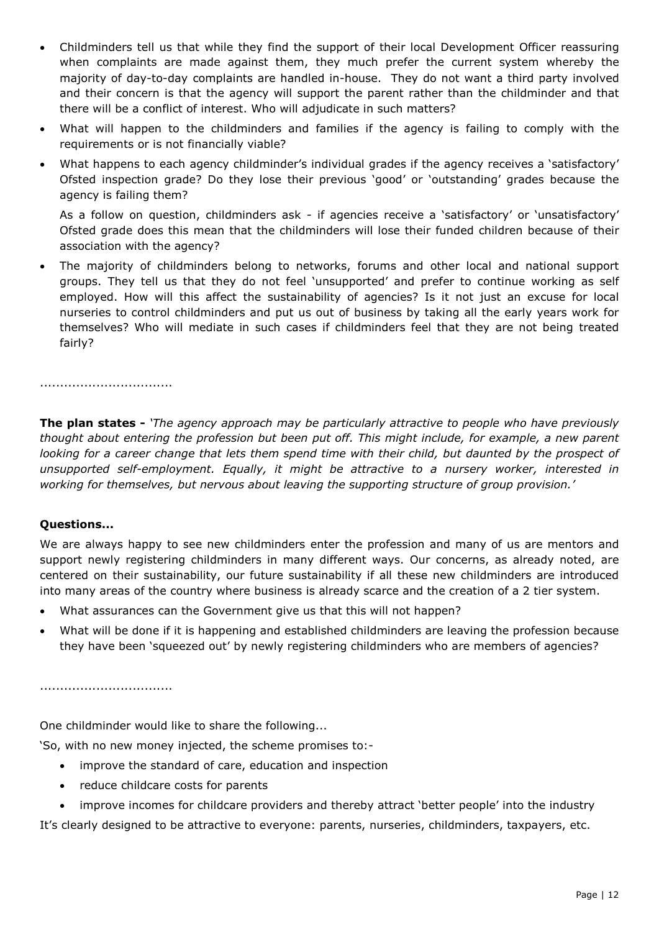- Childminders tell us that while they find the support of their local Development Officer reassuring when complaints are made against them, they much prefer the current system whereby the majority of day-to-day complaints are handled in-house. They do not want a third party involved and their concern is that the agency will support the parent rather than the childminder and that there will be a conflict of interest. Who will adjudicate in such matters?
- What will happen to the childminders and families if the agency is failing to comply with the requirements or is not financially viable?
- What happens to each agency childminder's individual grades if the agency receives a 'satisfactory' Ofsted inspection grade? Do they lose their previous 'good' or 'outstanding' grades because the agency is failing them?

As a follow on question, childminders ask - if agencies receive a 'satisfactory' or 'unsatisfactory' Ofsted grade does this mean that the childminders will lose their funded children because of their association with the agency?

• The majority of childminders belong to networks, forums and other local and national support groups. They tell us that they do not feel 'unsupported' and prefer to continue working as self employed. How will this affect the sustainability of agencies? Is it not just an excuse for local nurseries to control childminders and put us out of business by taking all the early years work for themselves? Who will mediate in such cases if childminders feel that they are not being treated fairly?

.................................

**The plan states -** *'The agency approach may be particularly attractive to people who have previously thought about entering the profession but been put off. This might include, for example, a new parent looking for a career change that lets them spend time with their child, but daunted by the prospect of unsupported self-employment. Equally, it might be attractive to a nursery worker, interested in working for themselves, but nervous about leaving the supporting structure of group provision.'*

# **Questions...**

We are always happy to see new childminders enter the profession and many of us are mentors and support newly registering childminders in many different ways. Our concerns, as already noted, are centered on their sustainability, our future sustainability if all these new childminders are introduced into many areas of the country where business is already scarce and the creation of a 2 tier system.

- What assurances can the Government give us that this will not happen?
- What will be done if it is happening and established childminders are leaving the profession because they have been 'squeezed out' by newly registering childminders who are members of agencies?

.................................

One childminder would like to share the following...

'So, with no new money injected, the scheme promises to:-

- improve the standard of care, education and inspection
- reduce childcare costs for parents
- improve incomes for childcare providers and thereby attract 'better people' into the industry

It's clearly designed to be attractive to everyone: parents, nurseries, childminders, taxpayers, etc.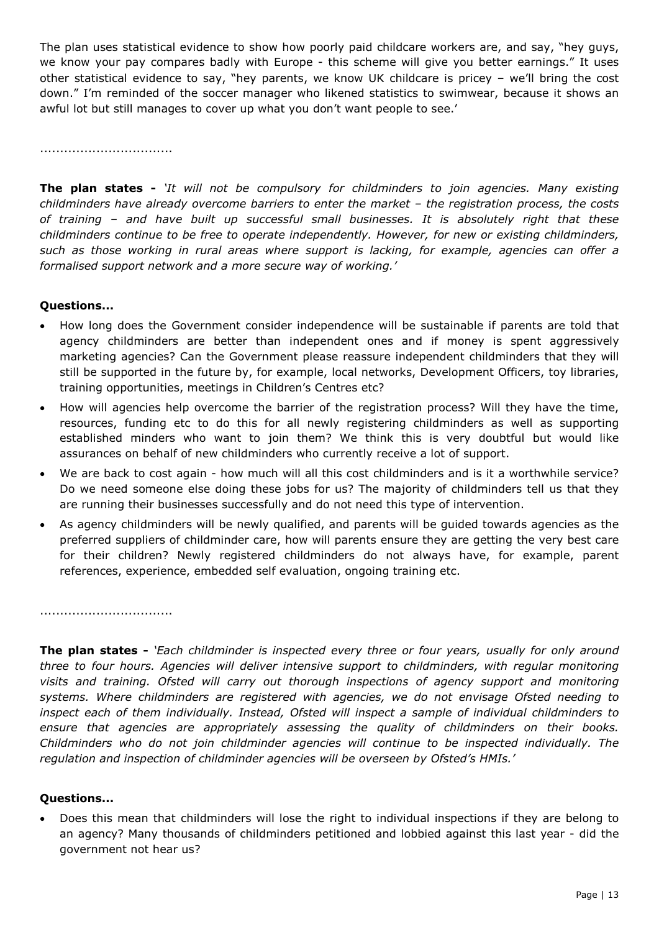The plan uses statistical evidence to show how poorly paid childcare workers are, and say, "hey guys, we know your pay compares badly with Europe - this scheme will give you better earnings." It uses other statistical evidence to say, "hey parents, we know UK childcare is pricey – we'll bring the cost down." I'm reminded of the soccer manager who likened statistics to swimwear, because it shows an awful lot but still manages to cover up what you don't want people to see.'

.................................

**The plan states -** *'It will not be compulsory for childminders to join agencies. Many existing childminders have already overcome barriers to enter the market – the registration process, the costs of training – and have built up successful small businesses. It is absolutely right that these childminders continue to be free to operate independently. However, for new or existing childminders, such as those working in rural areas where support is lacking, for example, agencies can offer a formalised support network and a more secure way of working.'*

#### **Questions...**

- How long does the Government consider independence will be sustainable if parents are told that agency childminders are better than independent ones and if money is spent aggressively marketing agencies? Can the Government please reassure independent childminders that they will still be supported in the future by, for example, local networks, Development Officers, toy libraries, training opportunities, meetings in Children's Centres etc?
- How will agencies help overcome the barrier of the registration process? Will they have the time, resources, funding etc to do this for all newly registering childminders as well as supporting established minders who want to join them? We think this is very doubtful but would like assurances on behalf of new childminders who currently receive a lot of support.
- We are back to cost again how much will all this cost childminders and is it a worthwhile service? Do we need someone else doing these jobs for us? The majority of childminders tell us that they are running their businesses successfully and do not need this type of intervention.
- As agency childminders will be newly qualified, and parents will be guided towards agencies as the preferred suppliers of childminder care, how will parents ensure they are getting the very best care for their children? Newly registered childminders do not always have, for example, parent references, experience, embedded self evaluation, ongoing training etc.

.................................

**The plan states -** *'Each childminder is inspected every three or four years, usually for only around three to four hours. Agencies will deliver intensive support to childminders, with regular monitoring visits and training. Ofsted will carry out thorough inspections of agency support and monitoring systems. Where childminders are registered with agencies, we do not envisage Ofsted needing to inspect each of them individually. Instead, Ofsted will inspect a sample of individual childminders to ensure that agencies are appropriately assessing the quality of childminders on their books. Childminders who do not join childminder agencies will continue to be inspected individually. The regulation and inspection of childminder agencies will be overseen by Ofsted's HMIs.'* 

#### **Questions...**

• Does this mean that childminders will lose the right to individual inspections if they are belong to an agency? Many thousands of childminders petitioned and lobbied against this last year - did the government not hear us?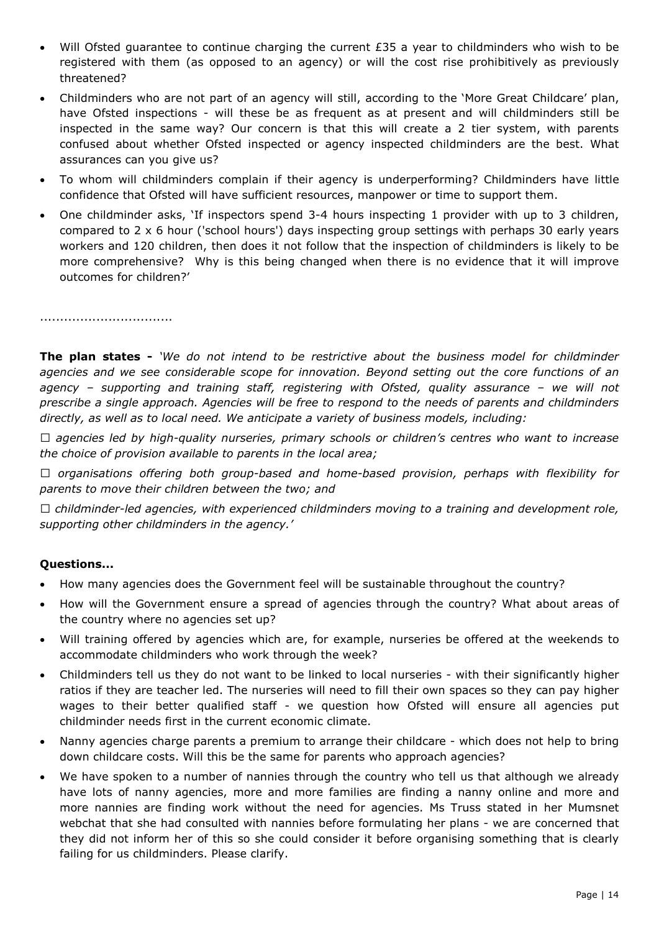- Will Ofsted guarantee to continue charging the current  $E35$  a year to childminders who wish to be registered with them (as opposed to an agency) or will the cost rise prohibitively as previously threatened?
- Childminders who are not part of an agency will still, according to the 'More Great Childcare' plan, have Ofsted inspections - will these be as frequent as at present and will childminders still be inspected in the same way? Our concern is that this will create a 2 tier system, with parents confused about whether Ofsted inspected or agency inspected childminders are the best. What assurances can you give us?
- To whom will childminders complain if their agency is underperforming? Childminders have little confidence that Ofsted will have sufficient resources, manpower or time to support them.
- One childminder asks, 'If inspectors spend 3-4 hours inspecting 1 provider with up to 3 children, compared to 2 x 6 hour ('school hours') days inspecting group settings with perhaps 30 early years workers and 120 children, then does it not follow that the inspection of childminders is likely to be more comprehensive? Why is this being changed when there is no evidence that it will improve outcomes for children?'

.................................

**The plan states -** *'We do not intend to be restrictive about the business model for childminder agencies and we see considerable scope for innovation. Beyond setting out the core functions of an agency – supporting and training staff, registering with Ofsted, quality assurance – we will not prescribe a single approach. Agencies will be free to respond to the needs of parents and childminders directly, as well as to local need. We anticipate a variety of business models, including:* 

*0 agencies led by high-quality nurseries, primary schools or children's centres who want to increase the choice of provision available to parents in the local area;* 

*0 organisations offering both group-based and home-based provision, perhaps with flexibility for parents to move their children between the two; and* 

*0 childminder-led agencies, with experienced childminders moving to a training and development role, supporting other childminders in the agency.'* 

- How many agencies does the Government feel will be sustainable throughout the country?
- How will the Government ensure a spread of agencies through the country? What about areas of the country where no agencies set up?
- Will training offered by agencies which are, for example, nurseries be offered at the weekends to accommodate childminders who work through the week?
- Childminders tell us they do not want to be linked to local nurseries with their significantly higher ratios if they are teacher led. The nurseries will need to fill their own spaces so they can pay higher wages to their better qualified staff - we question how Ofsted will ensure all agencies put childminder needs first in the current economic climate.
- Nanny agencies charge parents a premium to arrange their childcare which does not help to bring down childcare costs. Will this be the same for parents who approach agencies?
- We have spoken to a number of nannies through the country who tell us that although we already have lots of nanny agencies, more and more families are finding a nanny online and more and more nannies are finding work without the need for agencies. Ms Truss stated in her Mumsnet webchat that she had consulted with nannies before formulating her plans - we are concerned that they did not inform her of this so she could consider it before organising something that is clearly failing for us childminders. Please clarify.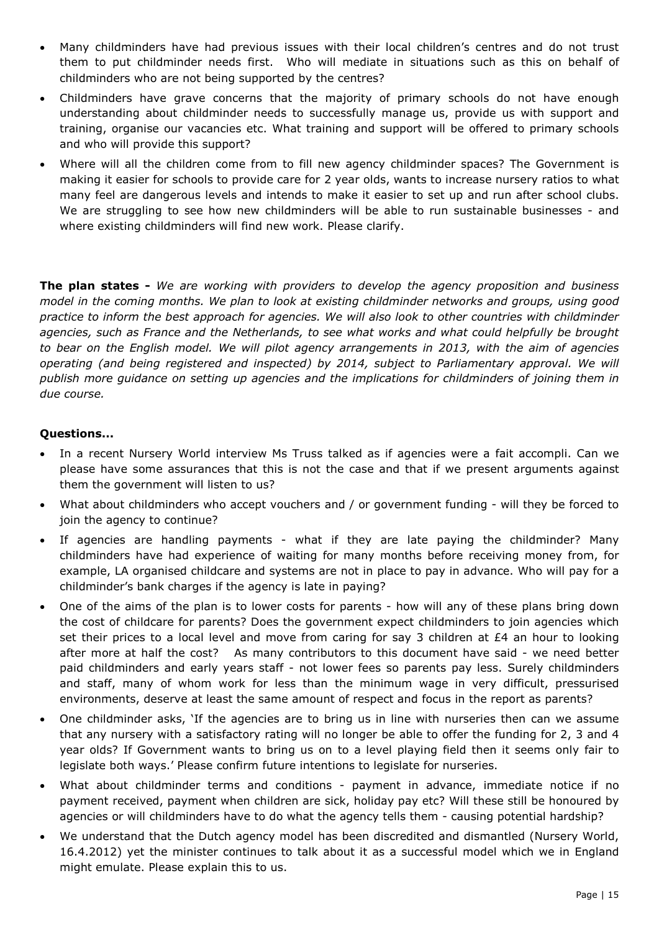- Many childminders have had previous issues with their local children's centres and do not trust them to put childminder needs first. Who will mediate in situations such as this on behalf of childminders who are not being supported by the centres?
- Childminders have grave concerns that the majority of primary schools do not have enough understanding about childminder needs to successfully manage us, provide us with support and training, organise our vacancies etc. What training and support will be offered to primary schools and who will provide this support?
- Where will all the children come from to fill new agency childminder spaces? The Government is making it easier for schools to provide care for 2 year olds, wants to increase nursery ratios to what many feel are dangerous levels and intends to make it easier to set up and run after school clubs. We are struggling to see how new childminders will be able to run sustainable businesses - and where existing childminders will find new work. Please clarify.

**The plan states -** *We are working with providers to develop the agency proposition and business model in the coming months. We plan to look at existing childminder networks and groups, using good practice to inform the best approach for agencies. We will also look to other countries with childminder agencies, such as France and the Netherlands, to see what works and what could helpfully be brought to bear on the English model. We will pilot agency arrangements in 2013, with the aim of agencies operating (and being registered and inspected) by 2014, subject to Parliamentary approval. We will publish more guidance on setting up agencies and the implications for childminders of joining them in due course.* 

- In a recent Nursery World interview Ms Truss talked as if agencies were a fait accompli. Can we please have some assurances that this is not the case and that if we present arguments against them the government will listen to us?
- What about childminders who accept vouchers and / or government funding will they be forced to join the agency to continue?
- If agencies are handling payments what if they are late paying the childminder? Many childminders have had experience of waiting for many months before receiving money from, for example, LA organised childcare and systems are not in place to pay in advance. Who will pay for a childminder's bank charges if the agency is late in paying?
- One of the aims of the plan is to lower costs for parents how will any of these plans bring down the cost of childcare for parents? Does the government expect childminders to join agencies which set their prices to a local level and move from caring for say 3 children at £4 an hour to looking after more at half the cost? As many contributors to this document have said - we need better paid childminders and early years staff - not lower fees so parents pay less. Surely childminders and staff, many of whom work for less than the minimum wage in very difficult, pressurised environments, deserve at least the same amount of respect and focus in the report as parents?
- One childminder asks, 'If the agencies are to bring us in line with nurseries then can we assume that any nursery with a satisfactory rating will no longer be able to offer the funding for 2, 3 and 4 year olds? If Government wants to bring us on to a level playing field then it seems only fair to legislate both ways.' Please confirm future intentions to legislate for nurseries.
- What about childminder terms and conditions payment in advance, immediate notice if no payment received, payment when children are sick, holiday pay etc? Will these still be honoured by agencies or will childminders have to do what the agency tells them - causing potential hardship?
- We understand that the Dutch agency model has been discredited and dismantled (Nursery World, 16.4.2012) yet the minister continues to talk about it as a successful model which we in England might emulate. Please explain this to us.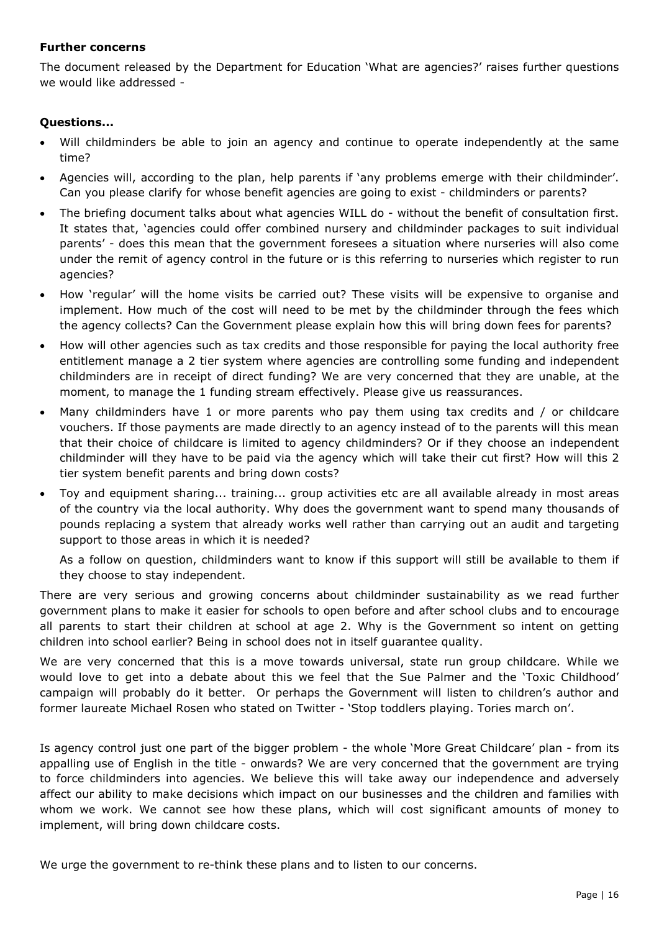#### **Further concerns**

The document released by the Department for Education 'What are agencies?' raises further questions we would like addressed -

# **Questions...**

- Will childminders be able to join an agency and continue to operate independently at the same time?
- Agencies will, according to the plan, help parents if 'any problems emerge with their childminder'. Can you please clarify for whose benefit agencies are going to exist - childminders or parents?
- The briefing document talks about what agencies WILL do without the benefit of consultation first. It states that, 'agencies could offer combined nursery and childminder packages to suit individual parents' - does this mean that the government foresees a situation where nurseries will also come under the remit of agency control in the future or is this referring to nurseries which register to run agencies?
- How 'regular' will the home visits be carried out? These visits will be expensive to organise and implement. How much of the cost will need to be met by the childminder through the fees which the agency collects? Can the Government please explain how this will bring down fees for parents?
- How will other agencies such as tax credits and those responsible for paying the local authority free entitlement manage a 2 tier system where agencies are controlling some funding and independent childminders are in receipt of direct funding? We are very concerned that they are unable, at the moment, to manage the 1 funding stream effectively. Please give us reassurances.
- Many childminders have 1 or more parents who pay them using tax credits and / or childcare vouchers. If those payments are made directly to an agency instead of to the parents will this mean that their choice of childcare is limited to agency childminders? Or if they choose an independent childminder will they have to be paid via the agency which will take their cut first? How will this 2 tier system benefit parents and bring down costs?
- Toy and equipment sharing... training... group activities etc are all available already in most areas of the country via the local authority. Why does the government want to spend many thousands of pounds replacing a system that already works well rather than carrying out an audit and targeting support to those areas in which it is needed?

As a follow on question, childminders want to know if this support will still be available to them if they choose to stay independent.

There are very serious and growing concerns about childminder sustainability as we read further government plans to make it easier for schools to open before and after school clubs and to encourage all parents to start their children at school at age 2. Why is the Government so intent on getting children into school earlier? Being in school does not in itself guarantee quality.

We are very concerned that this is a move towards universal, state run group childcare. While we would love to get into a debate about this we feel that the Sue Palmer and the 'Toxic Childhood' campaign will probably do it better. Or perhaps the Government will listen to children's author and former laureate Michael Rosen who stated on Twitter - 'Stop toddlers playing. Tories march on'.

Is agency control just one part of the bigger problem - the whole 'More Great Childcare' plan - from its appalling use of English in the title - onwards? We are very concerned that the government are trying to force childminders into agencies. We believe this will take away our independence and adversely affect our ability to make decisions which impact on our businesses and the children and families with whom we work. We cannot see how these plans, which will cost significant amounts of money to implement, will bring down childcare costs.

We urge the government to re-think these plans and to listen to our concerns.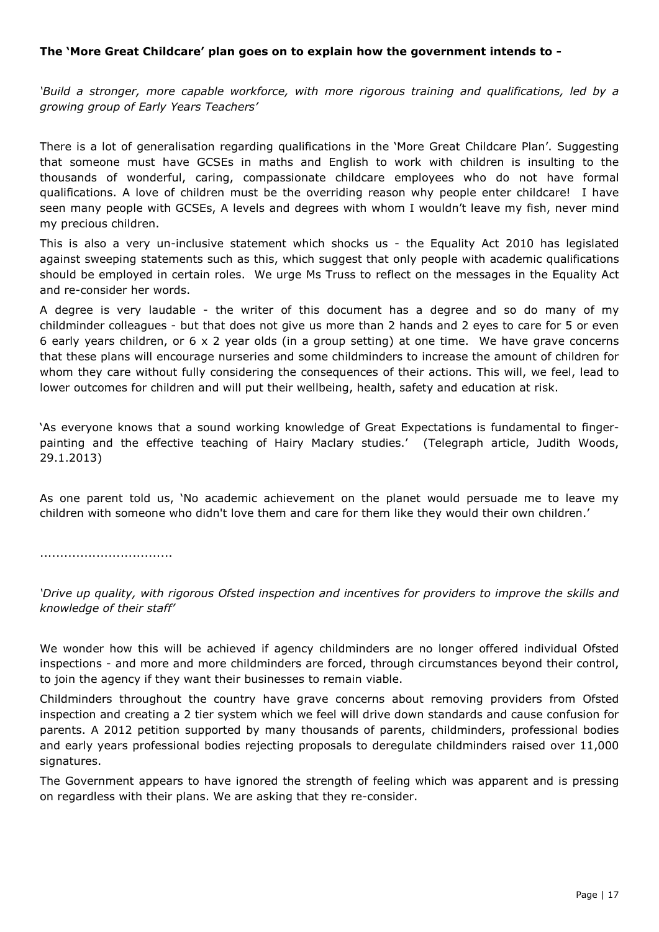# **The 'More Great Childcare' plan goes on to explain how the government intends to -**

*'Build a stronger, more capable workforce, with more rigorous training and qualifications, led by a growing group of Early Years Teachers'* 

There is a lot of generalisation regarding qualifications in the 'More Great Childcare Plan'. Suggesting that someone must have GCSEs in maths and English to work with children is insulting to the thousands of wonderful, caring, compassionate childcare employees who do not have formal qualifications. A love of children must be the overriding reason why people enter childcare! I have seen many people with GCSEs, A levels and degrees with whom I wouldn't leave my fish, never mind my precious children.

This is also a very un-inclusive statement which shocks us - the Equality Act 2010 has legislated against sweeping statements such as this, which suggest that only people with academic qualifications should be employed in certain roles. We urge Ms Truss to reflect on the messages in the Equality Act and re-consider her words.

A degree is very laudable - the writer of this document has a degree and so do many of my childminder colleagues - but that does not give us more than 2 hands and 2 eyes to care for 5 or even 6 early years children, or 6 x 2 year olds (in a group setting) at one time. We have grave concerns that these plans will encourage nurseries and some childminders to increase the amount of children for whom they care without fully considering the consequences of their actions. This will, we feel, lead to lower outcomes for children and will put their wellbeing, health, safety and education at risk.

'As everyone knows that a sound working knowledge of Great Expectations is fundamental to fingerpainting and the effective teaching of Hairy Maclary studies.' (Telegraph article, Judith Woods, 29.1.2013)

As one parent told us, 'No academic achievement on the planet would persuade me to leave my children with someone who didn't love them and care for them like they would their own children.'

.................................

*'Drive up quality, with rigorous Ofsted inspection and incentives for providers to improve the skills and knowledge of their staff'* 

We wonder how this will be achieved if agency childminders are no longer offered individual Ofsted inspections - and more and more childminders are forced, through circumstances beyond their control, to join the agency if they want their businesses to remain viable.

Childminders throughout the country have grave concerns about removing providers from Ofsted inspection and creating a 2 tier system which we feel will drive down standards and cause confusion for parents. A 2012 petition supported by many thousands of parents, childminders, professional bodies and early years professional bodies rejecting proposals to deregulate childminders raised over 11,000 signatures.

The Government appears to have ignored the strength of feeling which was apparent and is pressing on regardless with their plans. We are asking that they re-consider.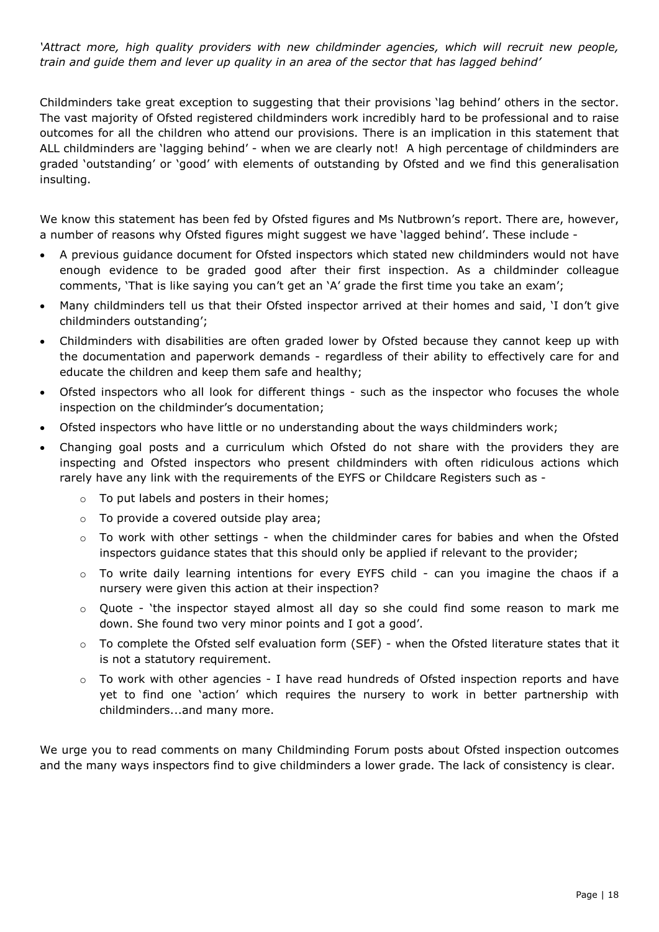*'Attract more, high quality providers with new childminder agencies, which will recruit new people, train and guide them and lever up quality in an area of the sector that has lagged behind'*

Childminders take great exception to suggesting that their provisions 'lag behind' others in the sector. The vast majority of Ofsted registered childminders work incredibly hard to be professional and to raise outcomes for all the children who attend our provisions. There is an implication in this statement that ALL childminders are 'lagging behind' - when we are clearly not! A high percentage of childminders are graded 'outstanding' or 'good' with elements of outstanding by Ofsted and we find this generalisation insulting.

We know this statement has been fed by Ofsted figures and Ms Nutbrown's report. There are, however, a number of reasons why Ofsted figures might suggest we have 'lagged behind'. These include -

- A previous guidance document for Ofsted inspectors which stated new childminders would not have enough evidence to be graded good after their first inspection. As a childminder colleague comments, 'That is like saying you can't get an 'A' grade the first time you take an exam';
- Many childminders tell us that their Ofsted inspector arrived at their homes and said, 'I don't give childminders outstanding';
- Childminders with disabilities are often graded lower by Ofsted because they cannot keep up with the documentation and paperwork demands - regardless of their ability to effectively care for and educate the children and keep them safe and healthy;
- Ofsted inspectors who all look for different things such as the inspector who focuses the whole inspection on the childminder's documentation;
- Ofsted inspectors who have little or no understanding about the ways childminders work;
- Changing goal posts and a curriculum which Ofsted do not share with the providers they are inspecting and Ofsted inspectors who present childminders with often ridiculous actions which rarely have any link with the requirements of the EYFS or Childcare Registers such as
	- o To put labels and posters in their homes;
	- $\circ$  To provide a covered outside play area;
	- o To work with other settings when the childminder cares for babies and when the Ofsted inspectors guidance states that this should only be applied if relevant to the provider;
	- $\circ$  To write daily learning intentions for every EYFS child can you imagine the chaos if a nursery were given this action at their inspection?
	- $\circ$  Quote 'the inspector stayed almost all day so she could find some reason to mark me down. She found two very minor points and I got a good'.
	- $\circ$  To complete the Ofsted self evaluation form (SEF) when the Ofsted literature states that it is not a statutory requirement.
	- $\circ$  To work with other agencies I have read hundreds of Ofsted inspection reports and have yet to find one 'action' which requires the nursery to work in better partnership with childminders...and many more.

We urge you to read comments on many Childminding Forum posts about Ofsted inspection outcomes and the many ways inspectors find to give childminders a lower grade. The lack of consistency is clear.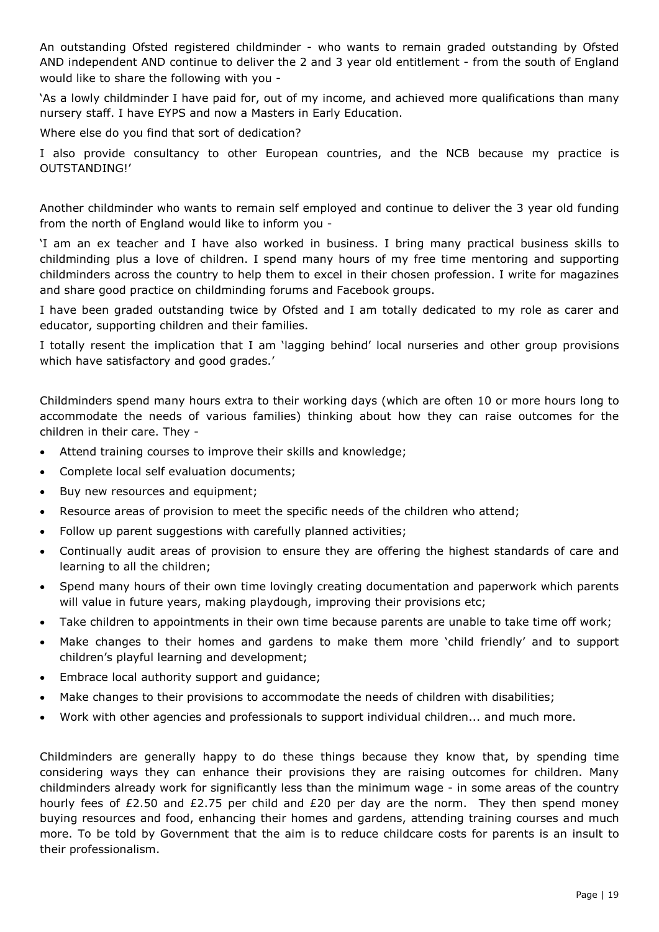An outstanding Ofsted registered childminder - who wants to remain graded outstanding by Ofsted AND independent AND continue to deliver the 2 and 3 year old entitlement - from the south of England would like to share the following with you -

'As a lowly childminder I have paid for, out of my income, and achieved more qualifications than many nursery staff. I have EYPS and now a Masters in Early Education.

Where else do you find that sort of dedication?

I also provide consultancy to other European countries, and the NCB because my practice is OUTSTANDING!'

Another childminder who wants to remain self employed and continue to deliver the 3 year old funding from the north of England would like to inform you -

'I am an ex teacher and I have also worked in business. I bring many practical business skills to childminding plus a love of children. I spend many hours of my free time mentoring and supporting childminders across the country to help them to excel in their chosen profession. I write for magazines and share good practice on childminding forums and Facebook groups.

I have been graded outstanding twice by Ofsted and I am totally dedicated to my role as carer and educator, supporting children and their families.

I totally resent the implication that I am 'lagging behind' local nurseries and other group provisions which have satisfactory and good grades.'

Childminders spend many hours extra to their working days (which are often 10 or more hours long to accommodate the needs of various families) thinking about how they can raise outcomes for the children in their care. They -

- Attend training courses to improve their skills and knowledge;
- Complete local self evaluation documents;
- Buy new resources and equipment;
- Resource areas of provision to meet the specific needs of the children who attend;
- Follow up parent suggestions with carefully planned activities;
- Continually audit areas of provision to ensure they are offering the highest standards of care and learning to all the children;
- Spend many hours of their own time lovingly creating documentation and paperwork which parents will value in future years, making playdough, improving their provisions etc;
- Take children to appointments in their own time because parents are unable to take time off work;
- Make changes to their homes and gardens to make them more 'child friendly' and to support children's playful learning and development;
- Embrace local authority support and guidance;
- Make changes to their provisions to accommodate the needs of children with disabilities;
- Work with other agencies and professionals to support individual children... and much more.

Childminders are generally happy to do these things because they know that, by spending time considering ways they can enhance their provisions they are raising outcomes for children. Many childminders already work for significantly less than the minimum wage - in some areas of the country hourly fees of £2.50 and £2.75 per child and £20 per day are the norm. They then spend money buying resources and food, enhancing their homes and gardens, attending training courses and much more. To be told by Government that the aim is to reduce childcare costs for parents is an insult to their professionalism.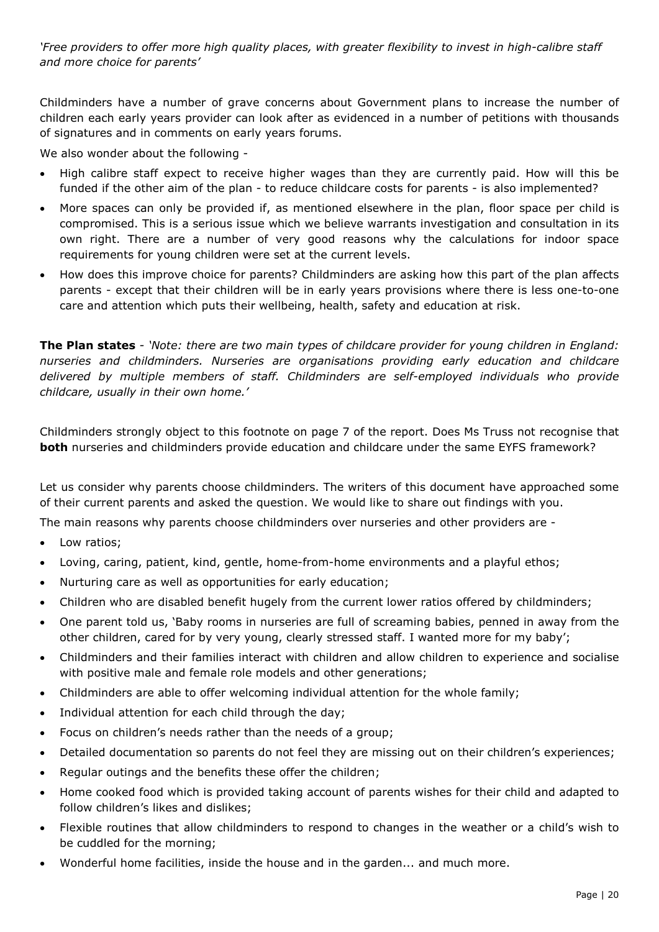*'Free providers to offer more high quality places, with greater flexibility to invest in high-calibre staff and more choice for parents'* 

Childminders have a number of grave concerns about Government plans to increase the number of children each early years provider can look after as evidenced in a number of petitions with thousands of signatures and in comments on early years forums.

We also wonder about the following -

- High calibre staff expect to receive higher wages than they are currently paid. How will this be funded if the other aim of the plan - to reduce childcare costs for parents - is also implemented?
- More spaces can only be provided if, as mentioned elsewhere in the plan, floor space per child is compromised. This is a serious issue which we believe warrants investigation and consultation in its own right. There are a number of very good reasons why the calculations for indoor space requirements for young children were set at the current levels.
- How does this improve choice for parents? Childminders are asking how this part of the plan affects parents - except that their children will be in early years provisions where there is less one-to-one care and attention which puts their wellbeing, health, safety and education at risk.

**The Plan states** *- 'Note: there are two main types of childcare provider for young children in England: nurseries and childminders. Nurseries are organisations providing early education and childcare delivered by multiple members of staff. Childminders are self-employed individuals who provide childcare, usually in their own home.'* 

Childminders strongly object to this footnote on page 7 of the report. Does Ms Truss not recognise that **both** nurseries and childminders provide education and childcare under the same EYFS framework?

Let us consider why parents choose childminders. The writers of this document have approached some of their current parents and asked the question. We would like to share out findings with you.

The main reasons why parents choose childminders over nurseries and other providers are -

- Low ratios;
- Loving, caring, patient, kind, gentle, home-from-home environments and a playful ethos;
- Nurturing care as well as opportunities for early education;
- Children who are disabled benefit hugely from the current lower ratios offered by childminders;
- One parent told us, 'Baby rooms in nurseries are full of screaming babies, penned in away from the other children, cared for by very young, clearly stressed staff. I wanted more for my baby';
- Childminders and their families interact with children and allow children to experience and socialise with positive male and female role models and other generations;
- Childminders are able to offer welcoming individual attention for the whole family;
- Individual attention for each child through the day;
- Focus on children's needs rather than the needs of a group;
- Detailed documentation so parents do not feel they are missing out on their children's experiences;
- Regular outings and the benefits these offer the children;
- Home cooked food which is provided taking account of parents wishes for their child and adapted to follow children's likes and dislikes;
- Flexible routines that allow childminders to respond to changes in the weather or a child's wish to be cuddled for the morning;
- Wonderful home facilities, inside the house and in the garden... and much more.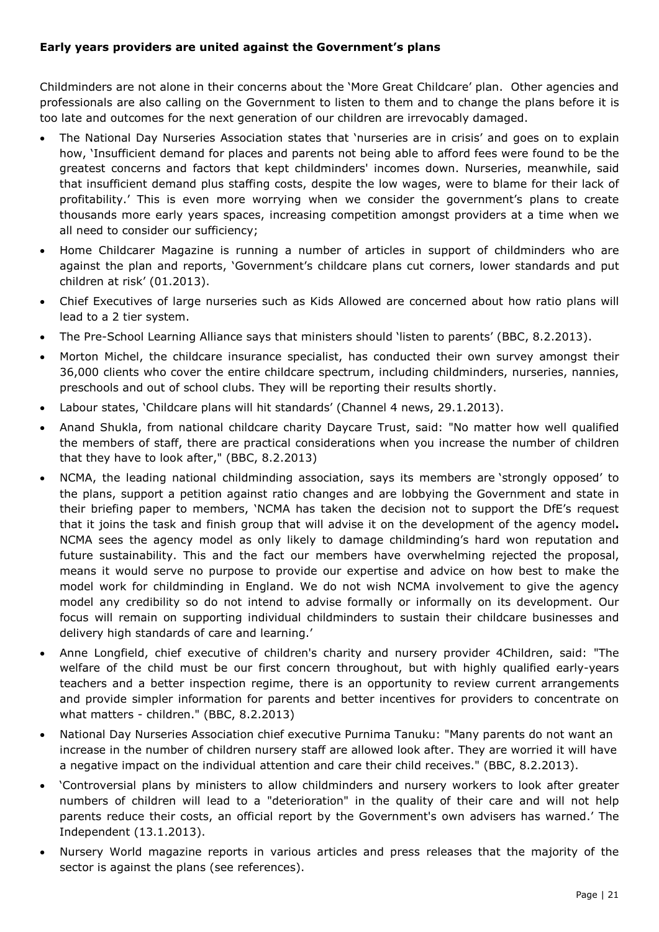# **Early years providers are united against the Government's plans**

Childminders are not alone in their concerns about the 'More Great Childcare' plan. Other agencies and professionals are also calling on the Government to listen to them and to change the plans before it is too late and outcomes for the next generation of our children are irrevocably damaged.

- The National Day Nurseries Association states that 'nurseries are in crisis' and goes on to explain how, 'Insufficient demand for places and parents not being able to afford fees were found to be the greatest concerns and factors that kept childminders' incomes down. Nurseries, meanwhile, said that insufficient demand plus staffing costs, despite the low wages, were to blame for their lack of profitability.' This is even more worrying when we consider the government's plans to create thousands more early years spaces, increasing competition amongst providers at a time when we all need to consider our sufficiency;
- Home Childcarer Magazine is running a number of articles in support of childminders who are against the plan and reports, 'Government's childcare plans cut corners, lower standards and put children at risk' (01.2013).
- Chief Executives of large nurseries such as Kids Allowed are concerned about how ratio plans will lead to a 2 tier system.
- The Pre-School Learning Alliance says that ministers should 'listen to parents' (BBC, 8.2.2013).
- Morton Michel, the childcare insurance specialist, has conducted their own survey amongst their 36,000 clients who cover the entire childcare spectrum, including childminders, nurseries, nannies, preschools and out of school clubs. They will be reporting their results shortly.
- Labour states, 'Childcare plans will hit standards' (Channel 4 news, 29.1.2013).
- Anand Shukla, from national childcare charity Daycare Trust, said: "No matter how well qualified the members of staff, there are practical considerations when you increase the number of children that they have to look after," (BBC, 8.2.2013)
- NCMA, the leading national childminding association, says its members are 'strongly opposed' to the plans, support a petition against ratio changes and are lobbying the Government and state in their briefing paper to members, 'NCMA has taken the decision not to support the DfE's request that it joins the task and finish group that will advise it on the development of the agency model**.** NCMA sees the agency model as only likely to damage childminding's hard won reputation and future sustainability. This and the fact our members have overwhelming rejected the proposal, means it would serve no purpose to provide our expertise and advice on how best to make the model work for childminding in England. We do not wish NCMA involvement to give the agency model any credibility so do not intend to advise formally or informally on its development. Our focus will remain on supporting individual childminders to sustain their childcare businesses and delivery high standards of care and learning.'
- Anne Longfield, chief executive of children's charity and nursery provider 4Children, said: "The welfare of the child must be our first concern throughout, but with highly qualified early-years teachers and a better inspection regime, there is an opportunity to review current arrangements and provide simpler information for parents and better incentives for providers to concentrate on what matters - children." (BBC, 8.2.2013)
- National Day Nurseries Association chief executive Purnima Tanuku: "Many parents do not want an increase in the number of children nursery staff are allowed look after. They are worried it will have a negative impact on the individual attention and care their child receives." (BBC, 8.2.2013).
- 'Controversial plans by ministers to allow childminders and nursery workers to look after greater numbers of children will lead to a "deterioration" in the quality of their care and will not help parents reduce their costs, an official report by the Government's own advisers has warned.' The Independent (13.1.2013).
- Nursery World magazine reports in various articles and press releases that the majority of the sector is against the plans (see references).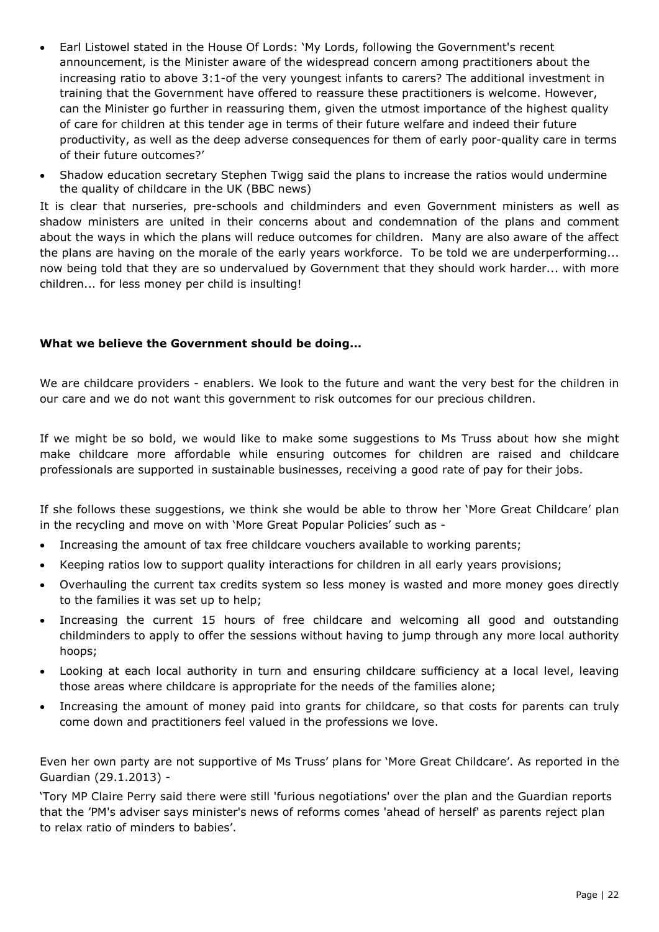- Earl Listowel stated in the House Of Lords: 'My Lords, following the Government's recent announcement, is the Minister aware of the widespread concern among practitioners about the increasing ratio to above 3:1-of the very youngest infants to carers? The additional investment in training that the Government have offered to reassure these practitioners is welcome. However, can the Minister go further in reassuring them, given the utmost importance of the highest quality of care for children at this tender age in terms of their future welfare and indeed their future productivity, as well as the deep adverse consequences for them of early poor-quality care in terms of their future outcomes?'
- Shadow education secretary Stephen Twigg said the plans to increase the ratios would undermine the quality of childcare in the UK (BBC news)

It is clear that nurseries, pre-schools and childminders and even Government ministers as well as shadow ministers are united in their concerns about and condemnation of the plans and comment about the ways in which the plans will reduce outcomes for children. Many are also aware of the affect the plans are having on the morale of the early years workforce. To be told we are underperforming... now being told that they are so undervalued by Government that they should work harder... with more children... for less money per child is insulting!

# **What we believe the Government should be doing...**

We are childcare providers - enablers. We look to the future and want the very best for the children in our care and we do not want this government to risk outcomes for our precious children.

If we might be so bold, we would like to make some suggestions to Ms Truss about how she might make childcare more affordable while ensuring outcomes for children are raised and childcare professionals are supported in sustainable businesses, receiving a good rate of pay for their jobs.

If she follows these suggestions, we think she would be able to throw her 'More Great Childcare' plan in the recycling and move on with 'More Great Popular Policies' such as -

- Increasing the amount of tax free childcare vouchers available to working parents;
- Keeping ratios low to support quality interactions for children in all early years provisions;
- Overhauling the current tax credits system so less money is wasted and more money goes directly to the families it was set up to help;
- Increasing the current 15 hours of free childcare and welcoming all good and outstanding childminders to apply to offer the sessions without having to jump through any more local authority hoops;
- Looking at each local authority in turn and ensuring childcare sufficiency at a local level, leaving those areas where childcare is appropriate for the needs of the families alone;
- Increasing the amount of money paid into grants for childcare, so that costs for parents can truly come down and practitioners feel valued in the professions we love.

Even her own party are not supportive of Ms Truss' plans for 'More Great Childcare'. As reported in the Guardian (29.1.2013) -

'Tory MP Claire Perry said there were still 'furious negotiations' over the plan and the Guardian reports that the 'PM's adviser says minister's news of reforms comes 'ahead of herself' as parents reject plan to relax ratio of minders to babies'.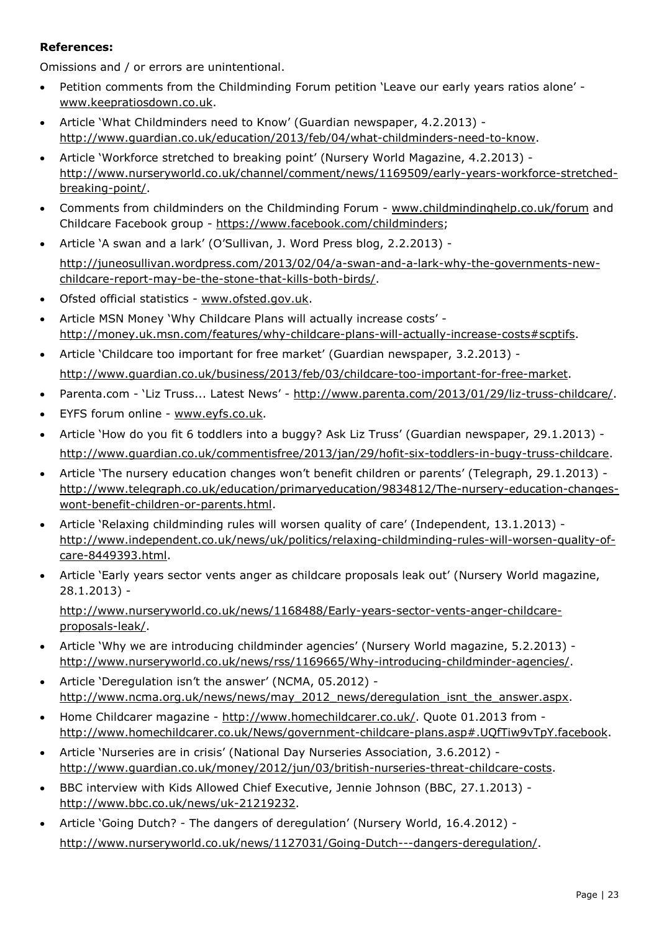# **References:**

Omissions and / or errors are unintentional.

- Petition comments from the Childminding Forum petition 'Leave our early years ratios alone' www.keepratiosdown.co.uk.
- Article 'What Childminders need to Know' (Guardian newspaper, 4.2.2013) http://www.guardian.co.uk/education/2013/feb/04/what-childminders-need-to-know.
- Article 'Workforce stretched to breaking point' (Nursery World Magazine, 4.2.2013) http://www.nurseryworld.co.uk/channel/comment/news/1169509/early-years-workforce-stretchedbreaking-point/.
- Comments from childminders on the Childminding Forum www.childmindinghelp.co.uk/forum and Childcare Facebook group - https://www.facebook.com/childminders;
- Article 'A swan and a lark' (O'Sullivan, J. Word Press blog, 2.2.2013) -

http://juneosullivan.wordpress.com/2013/02/04/a-swan-and-a-lark-why-the-governments-newchildcare-report-may-be-the-stone-that-kills-both-birds/.

- Ofsted official statistics www.ofsted.gov.uk.
- Article MSN Money 'Why Childcare Plans will actually increase costs' http://money.uk.msn.com/features/why-childcare-plans-will-actually-increase-costs#scptifs.
- Article 'Childcare too important for free market' (Guardian newspaper, 3.2.2013) http://www.guardian.co.uk/business/2013/feb/03/childcare-too-important-for-free-market.
- Parenta.com 'Liz Truss... Latest News' http://www.parenta.com/2013/01/29/liz-truss-childcare/.
- EYFS forum online www.eyfs.co.uk.
- Article 'How do you fit 6 toddlers into a buggy? Ask Liz Truss' (Guardian newspaper, 29.1.2013) http://www.guardian.co.uk/commentisfree/2013/jan/29/hofit-six-toddlers-in-bugy-truss-childcare.
- Article 'The nursery education changes won't benefit children or parents' (Telegraph, 29.1.2013) http://www.telegraph.co.uk/education/primaryeducation/9834812/The-nursery-education-changeswont-benefit-children-or-parents.html.
- Article 'Relaxing childminding rules will worsen quality of care' (Independent, 13.1.2013) http://www.independent.co.uk/news/uk/politics/relaxing-childminding-rules-will-worsen-quality-ofcare-8449393.html.
- Article 'Early years sector vents anger as childcare proposals leak out' (Nursery World magazine, 28.1.2013) -

http://www.nurseryworld.co.uk/news/1168488/Early-years-sector-vents-anger-childcareproposals-leak/.

- Article 'Why we are introducing childminder agencies' (Nursery World magazine, 5.2.2013) http://www.nurseryworld.co.uk/news/rss/1169665/Why-introducing-childminder-agencies/.
- Article 'Deregulation isn't the answer' (NCMA, 05.2012) http://www.ncma.org.uk/news/news/may\_2012\_news/deregulation\_isnt\_the\_answer.aspx.
- Home Childcarer magazine http://www.homechildcarer.co.uk/. Quote 01.2013 from http://www.homechildcarer.co.uk/News/government-childcare-plans.asp#.UQfTiw9vTpY.facebook.
- Article 'Nurseries are in crisis' (National Day Nurseries Association, 3.6.2012) http://www.guardian.co.uk/money/2012/jun/03/british-nurseries-threat-childcare-costs.
- BBC interview with Kids Allowed Chief Executive, Jennie Johnson (BBC, 27.1.2013) http://www.bbc.co.uk/news/uk-21219232.
- Article 'Going Dutch? The dangers of deregulation' (Nursery World, 16.4.2012) http://www.nurseryworld.co.uk/news/1127031/Going-Dutch---dangers-deregulation/.